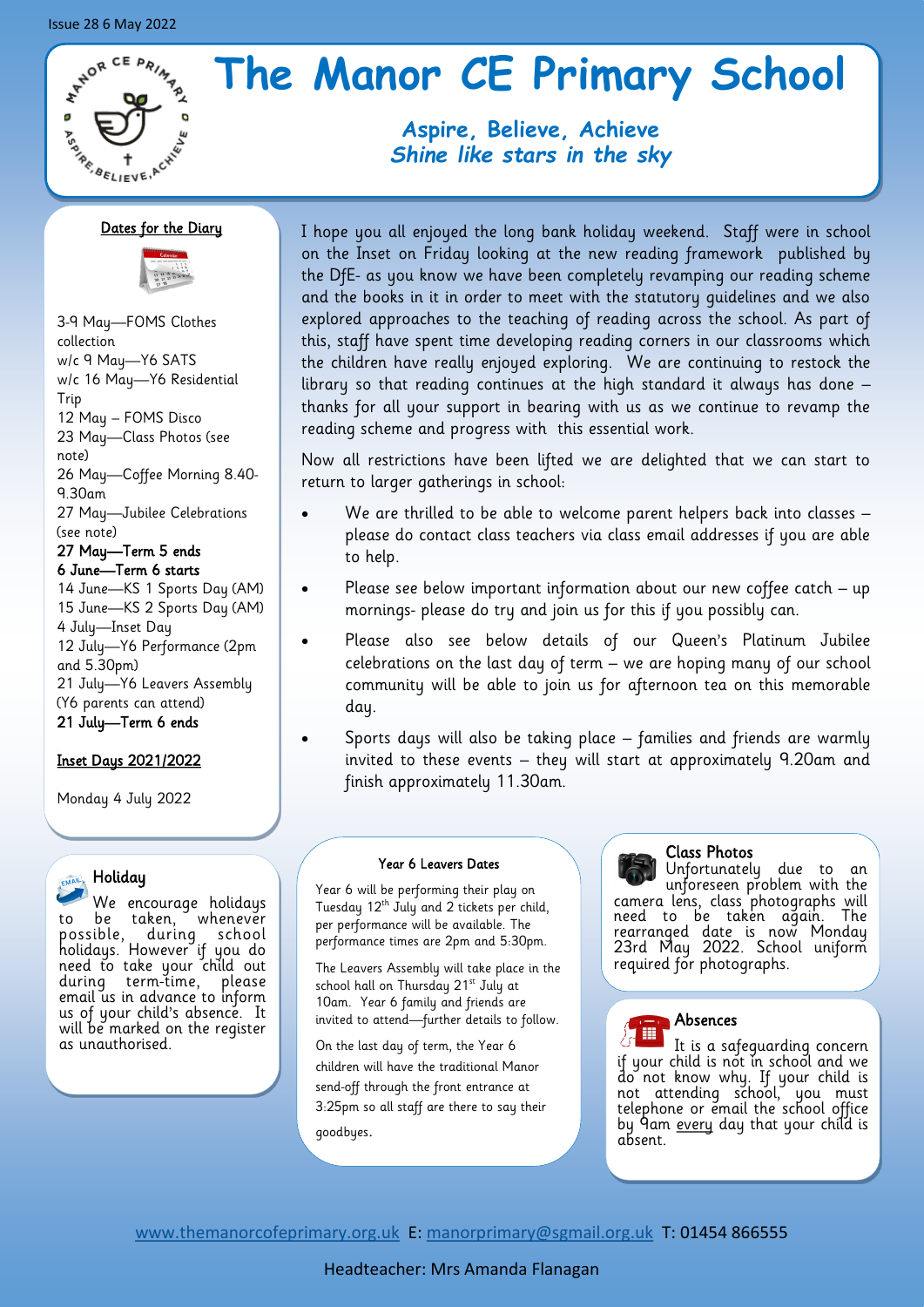# **ATADR CE PRIMARY ANSISTENE**

# **The Manor CE Primary School**

# **Aspire, Believe, Achieve** *Shine like stars in the sky*

# Dates for the Diary



3-9 May—FOMS Clothes collection w/c 9 May—Y6 SATS w/c 16 May—Y6 Residential Trip 12 May – FOMS Disco 23 May—Class Photos (see note) 26 May—Coffee Morning 8.40- 9.30am 27 May—Jubilee Celebrations (see note) 27 May—Term 5 ends 6 June—Term 6 starts

14 June—KS 1 Sports Day (AM) 15 June—KS 2 Sports Day (AM) 4 July—Inset Day 12 July—Y6 Performance (2pm and 5.30pm) 21 July—Y6 Leavers Assembly (Y6 parents can attend) 21 July—Term 6 ends

# Inset Days 2021/2022

Monday 4 July 2022

# Holiday

We encourage holidays to be taken, whenever possible, during school holidays. However if you do need to take your child out during term-time, please email us in advance to inform us of your child's absence. It will be marked on the register as unauthorised.

I hope you all enjoyed the long bank holiday weekend. Staff were in school on the Inset on Friday looking at the new reading framework published by the DfE- as you know we have been completely revamping our reading scheme and the books in it in order to meet with the statutory guidelines and we also explored approaches to the teaching of reading across the school. As part of this, staff have spent time developing reading corners in our classrooms which the children have really enjoyed exploring. We are continuing to restock the library so that reading continues at the high standard it always has done – thanks for all your support in bearing with us as we continue to revamp the reading scheme and progress with this essential work.

Now all restrictions have been lifted we are delighted that we can start to return to larger gatherings in school:

- We are thrilled to be able to welcome parent helpers back into classes please do contact class teachers via class email addresses if you are able to help.
- Please see below important information about our new coffee catch up mornings- please do try and join us for this if you possibly can.
- Please also see below details of our Queen's Platinum Jubilee celebrations on the last day of term – we are hoping many of our school community will be able to join us for afternoon tea on this memorable day.
- Sports days will also be taking place families and friends are warmly invited to these events – they will start at approximately 9.20am and finish approximately 11.30am.

## Year 6 Leavers Dates

Year 6 will be performing their play on Tuesday 12<sup>th</sup> July and 2 tickets per child, per performance will be available. The performance times are 2pm and 5:30pm.

The Leavers Assembly will take place in the school hall on Thursday 21<sup>st</sup> July at 10am. Year 6 family and friends are invited to attend—further details to follow.

On the last day of term, the Year 6 children will have the traditional Manor send-off through the front entrance at 3:25pm so all staff are there to say their goodbyes.

## Class Photos

Unfortunately due to an unforeseen problem with the camera lens, class photographs will need to be taken again. The rearranged date is now Monday 23rd May 2022. School uniform required for photographs.

#### Absences 冊

It is a safeguarding concern if your child is not in school and we do not know why. If your child is not attending school, you must telephone or email the school office by 9am <u>every</u> day that your child is absent.

[www.themanorcofeprimary.org.uk](http://www.manorcofeprimary.org.uk) E: [manorprimary@sgmail.org.uk](mailto:manorprimary@sgmail.org.uk) T: 01454 866555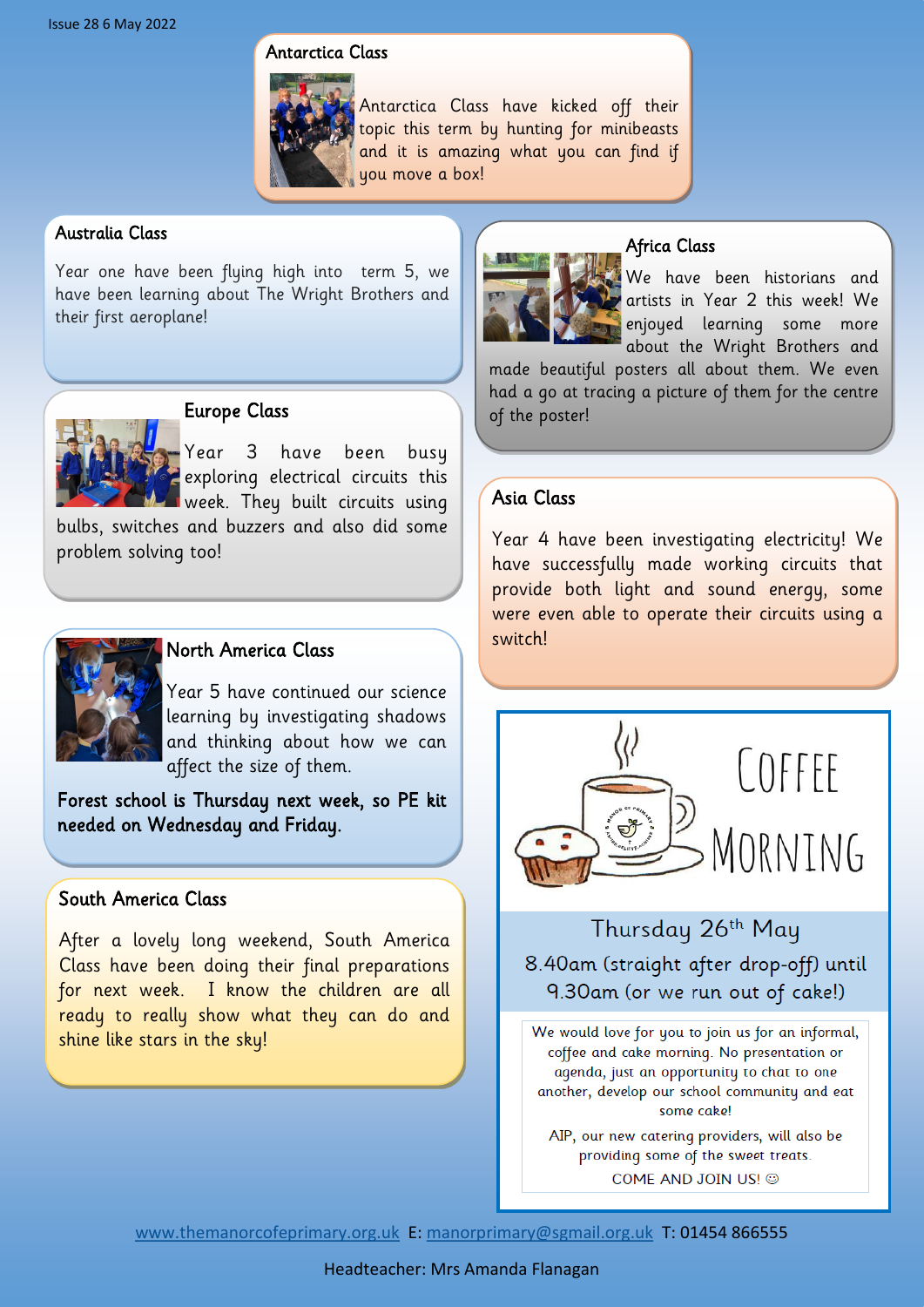# Antarctica Class



Antarctica Class have kicked off their topic this term by hunting for minibeasts and it is amazing what you can find if you move a box!

# Australia Class

Year one have been flying high into term 5, we have been learning about The Wright Brothers and their first aeroplane!



# Europe Class

Year 3 have been busy exploring electrical circuits this week. They built circuits using

bulbs, switches and buzzers and also did some problem solving too!



# North America Class

Year 5 have continued our science learning by investigating shadows and thinking about how we can affect the size of them.

Forest school is Thursday next week, so PE kit needed on Wednesday and Friday.

# South America Class

After a lovely long weekend, South America Class have been doing their final preparations for next week. I know the children are all ready to really show what they can do and shine like stars in the sky!



# Africa Class

We have been historians and artists in Year 2 this week! We enjoyed learning some more about the Wright Brothers and

made beautiful posters all about them. We even had a go at tracing a picture of them for the centre of the poster!

# Asia Class

Year 4 have been investigating electricity! We have successfully made working circuits that provide both light and sound energy, some were even able to operate their circuits using a switch!



Thursday 26th May 8.40am (straight after drop-off) until 9.30am (or we run out of cake!)

We would love for you to join us for an informal, coffee and cake morning. No presentation or agenda, just an opportunity to chat to one another, develop our school community and eat some cake!

AIP, our new catering providers, will also be providing some of the sweet treats. COME AND JOIN US! @